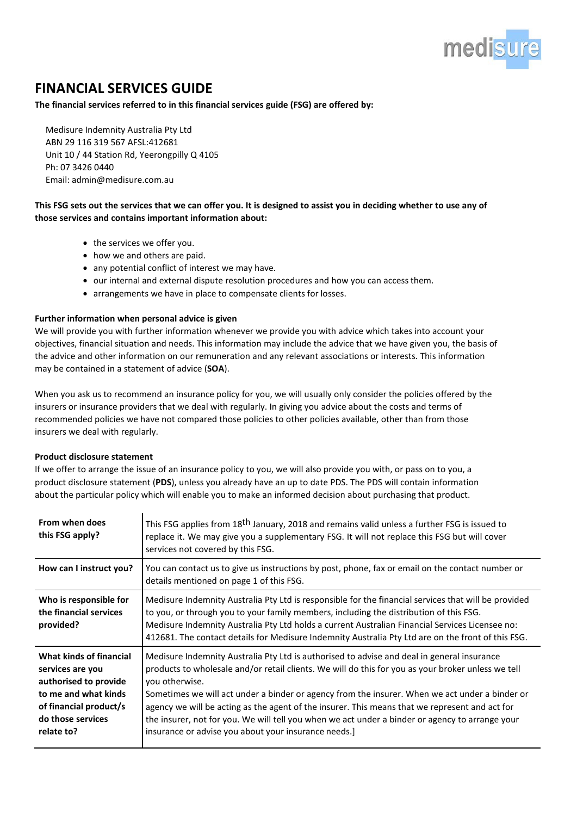

## **FINANCIAL SERVICES GUIDE**

**The financial services referred to in this financial services guide (FSG) are offered by:**

Medisure Indemnity Australia Pty Ltd ABN 29 116 319 567 AFSL:412681 Unit 10 / 44 Station Rd, Yeerongpilly Q 4105 Ph: 07 3426 0440 Email: [admin@medisure.com.au](mailto:admin@medisure.com.au)

## **This FSG sets out the services that we can offer you. It is designed to assist you in deciding whether to use any of those services and contains important information about:**

- the services we offer you.
- how we and others are paid.
- any potential conflict of interest we may have.
- our internal and external dispute resolution procedures and how you can accessthem.
- arrangements we have in place to compensate clients for losses.

## **Further information when personal advice is given**

We will provide you with further information whenever we provide you with advice which takes into account your objectives, financial situation and needs. This information may include the advice that we have given you, the basis of the advice and other information on our remuneration and any relevant associations or interests. This information may be contained in a statement of advice (**SOA**).

When you ask us to recommend an insurance policy for you, we will usually only consider the policies offered by the insurers or insurance providers that we deal with regularly. In giving you advice about the costs and terms of recommended policies we have not compared those policies to other policies available, other than from those insurers we deal with regularly.

## **Product disclosure statement**

If we offer to arrange the issue of an insurance policy to you, we will also provide you with, or pass on to you, a product disclosure statement (**PDS**), unless you already have an up to date PDS. The PDS will contain information about the particular policy which will enable you to make an informed decision about purchasing that product.

| From when does<br>this FSG apply?                                                                                                                         | This FSG applies from 18 <sup>th</sup> January, 2018 and remains valid unless a further FSG is issued to<br>replace it. We may give you a supplementary FSG. It will not replace this FSG but will cover<br>services not covered by this FSG.                                                                                                                                                                                                                                                                                                                                     |
|-----------------------------------------------------------------------------------------------------------------------------------------------------------|-----------------------------------------------------------------------------------------------------------------------------------------------------------------------------------------------------------------------------------------------------------------------------------------------------------------------------------------------------------------------------------------------------------------------------------------------------------------------------------------------------------------------------------------------------------------------------------|
| How can I instruct you?                                                                                                                                   | You can contact us to give us instructions by post, phone, fax or email on the contact number or<br>details mentioned on page 1 of this FSG.                                                                                                                                                                                                                                                                                                                                                                                                                                      |
| Who is responsible for<br>the financial services<br>provided?                                                                                             | Medisure Indemnity Australia Pty Ltd is responsible for the financial services that will be provided<br>to you, or through you to your family members, including the distribution of this FSG.<br>Medisure Indemnity Australia Pty Ltd holds a current Australian Financial Services Licensee no:<br>412681. The contact details for Medisure Indemnity Australia Pty Ltd are on the front of this FSG.                                                                                                                                                                           |
| What kinds of financial<br>services are you<br>authorised to provide<br>to me and what kinds<br>of financial product/s<br>do those services<br>relate to? | Medisure Indemnity Australia Pty Ltd is authorised to advise and deal in general insurance<br>products to wholesale and/or retail clients. We will do this for you as your broker unless we tell<br>you otherwise.<br>Sometimes we will act under a binder or agency from the insurer. When we act under a binder or<br>agency we will be acting as the agent of the insurer. This means that we represent and act for<br>the insurer, not for you. We will tell you when we act under a binder or agency to arrange your<br>insurance or advise you about your insurance needs.] |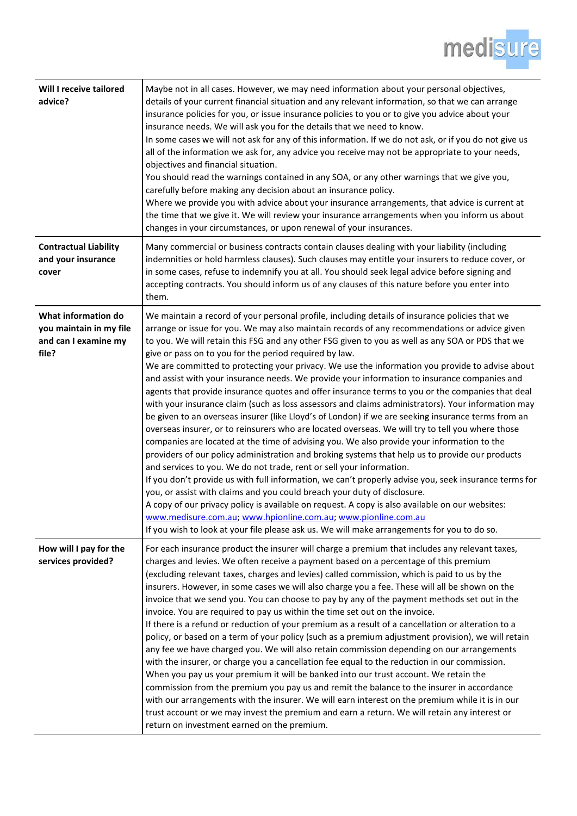

| Will I receive tailored<br>advice?                                              | Maybe not in all cases. However, we may need information about your personal objectives,<br>details of your current financial situation and any relevant information, so that we can arrange<br>insurance policies for you, or issue insurance policies to you or to give you advice about your<br>insurance needs. We will ask you for the details that we need to know.<br>In some cases we will not ask for any of this information. If we do not ask, or if you do not give us<br>all of the information we ask for, any advice you receive may not be appropriate to your needs,<br>objectives and financial situation.<br>You should read the warnings contained in any SOA, or any other warnings that we give you,<br>carefully before making any decision about an insurance policy.<br>Where we provide you with advice about your insurance arrangements, that advice is current at<br>the time that we give it. We will review your insurance arrangements when you inform us about<br>changes in your circumstances, or upon renewal of your insurances.                                                                                                                                                                                                                                                                                                                                                                                                                                                                                                                                                                                                                                                  |
|---------------------------------------------------------------------------------|------------------------------------------------------------------------------------------------------------------------------------------------------------------------------------------------------------------------------------------------------------------------------------------------------------------------------------------------------------------------------------------------------------------------------------------------------------------------------------------------------------------------------------------------------------------------------------------------------------------------------------------------------------------------------------------------------------------------------------------------------------------------------------------------------------------------------------------------------------------------------------------------------------------------------------------------------------------------------------------------------------------------------------------------------------------------------------------------------------------------------------------------------------------------------------------------------------------------------------------------------------------------------------------------------------------------------------------------------------------------------------------------------------------------------------------------------------------------------------------------------------------------------------------------------------------------------------------------------------------------------------------------------------------------------------------------------------------------|
| <b>Contractual Liability</b><br>and your insurance<br>cover                     | Many commercial or business contracts contain clauses dealing with your liability (including<br>indemnities or hold harmless clauses). Such clauses may entitle your insurers to reduce cover, or<br>in some cases, refuse to indemnify you at all. You should seek legal advice before signing and<br>accepting contracts. You should inform us of any clauses of this nature before you enter into<br>them.                                                                                                                                                                                                                                                                                                                                                                                                                                                                                                                                                                                                                                                                                                                                                                                                                                                                                                                                                                                                                                                                                                                                                                                                                                                                                                          |
| What information do<br>you maintain in my file<br>and can I examine my<br>file? | We maintain a record of your personal profile, including details of insurance policies that we<br>arrange or issue for you. We may also maintain records of any recommendations or advice given<br>to you. We will retain this FSG and any other FSG given to you as well as any SOA or PDS that we<br>give or pass on to you for the period required by law.<br>We are committed to protecting your privacy. We use the information you provide to advise about<br>and assist with your insurance needs. We provide your information to insurance companies and<br>agents that provide insurance quotes and offer insurance terms to you or the companies that deal<br>with your insurance claim (such as loss assessors and claims administrators). Your information may<br>be given to an overseas insurer (like Lloyd's of London) if we are seeking insurance terms from an<br>overseas insurer, or to reinsurers who are located overseas. We will try to tell you where those<br>companies are located at the time of advising you. We also provide your information to the<br>providers of our policy administration and broking systems that help us to provide our products<br>and services to you. We do not trade, rent or sell your information.<br>If you don't provide us with full information, we can't properly advise you, seek insurance terms for<br>you, or assist with claims and you could breach your duty of disclosure.<br>A copy of our privacy policy is available on request. A copy is also available on our websites:<br>www.medisure.com.au, www.hpionline.com.au, www.pionline.com.au<br>If you wish to look at your file please ask us. We will make arrangements for you to do so. |
| How will I pay for the<br>services provided?                                    | For each insurance product the insurer will charge a premium that includes any relevant taxes,<br>charges and levies. We often receive a payment based on a percentage of this premium<br>(excluding relevant taxes, charges and levies) called commission, which is paid to us by the<br>insurers. However, in some cases we will also charge you a fee. These will all be shown on the<br>invoice that we send you. You can choose to pay by any of the payment methods set out in the<br>invoice. You are required to pay us within the time set out on the invoice.<br>If there is a refund or reduction of your premium as a result of a cancellation or alteration to a<br>policy, or based on a term of your policy (such as a premium adjustment provision), we will retain<br>any fee we have charged you. We will also retain commission depending on our arrangements<br>with the insurer, or charge you a cancellation fee equal to the reduction in our commission.<br>When you pay us your premium it will be banked into our trust account. We retain the<br>commission from the premium you pay us and remit the balance to the insurer in accordance<br>with our arrangements with the insurer. We will earn interest on the premium while it is in our<br>trust account or we may invest the premium and earn a return. We will retain any interest or<br>return on investment earned on the premium.                                                                                                                                                                                                                                                                                                |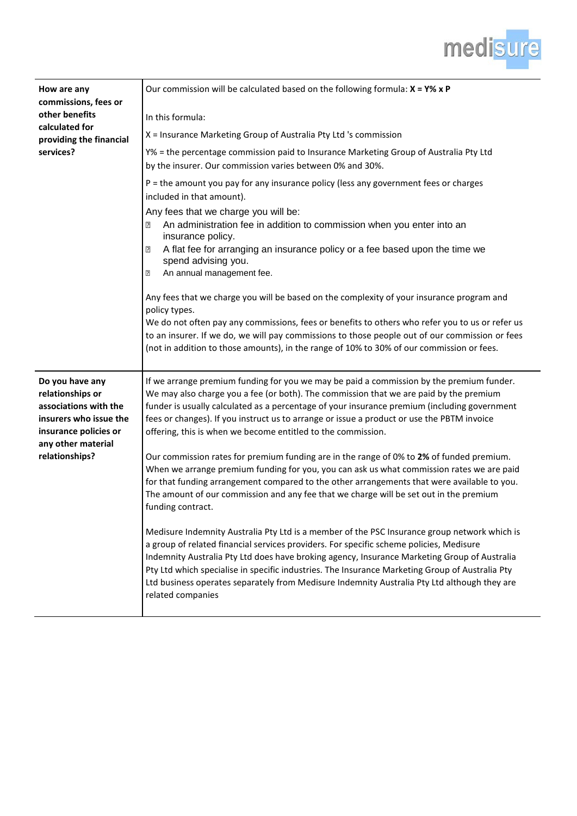

| How are any<br>commissions, fees or<br>other benefits<br>calculated for<br>providing the financial<br>services?                                         | Our commission will be calculated based on the following formula: $X = Y\% \times P$<br>In this formula:<br>X = Insurance Marketing Group of Australia Pty Ltd 's commission<br>Y% = the percentage commission paid to Insurance Marketing Group of Australia Pty Ltd<br>by the insurer. Our commission varies between 0% and 30%.<br>P = the amount you pay for any insurance policy (less any government fees or charges<br>included in that amount).<br>Any fees that we charge you will be:<br>An administration fee in addition to commission when you enter into an<br>⊡<br>insurance policy.<br>A flat fee for arranging an insurance policy or a fee based upon the time we<br>⊡<br>spend advising you.<br>An annual management fee.<br>?<br>Any fees that we charge you will be based on the complexity of your insurance program and<br>policy types.<br>We do not often pay any commissions, fees or benefits to others who refer you to us or refer us<br>to an insurer. If we do, we will pay commissions to those people out of our commission or fees                                                                            |
|---------------------------------------------------------------------------------------------------------------------------------------------------------|-------------------------------------------------------------------------------------------------------------------------------------------------------------------------------------------------------------------------------------------------------------------------------------------------------------------------------------------------------------------------------------------------------------------------------------------------------------------------------------------------------------------------------------------------------------------------------------------------------------------------------------------------------------------------------------------------------------------------------------------------------------------------------------------------------------------------------------------------------------------------------------------------------------------------------------------------------------------------------------------------------------------------------------------------------------------------------------------------------------------------------------------------|
| Do you have any<br>relationships or<br>associations with the<br>insurers who issue the<br>insurance policies or<br>any other material<br>relationships? | (not in addition to those amounts), in the range of 10% to 30% of our commission or fees.<br>If we arrange premium funding for you we may be paid a commission by the premium funder.<br>We may also charge you a fee (or both). The commission that we are paid by the premium<br>funder is usually calculated as a percentage of your insurance premium (including government<br>fees or changes). If you instruct us to arrange or issue a product or use the PBTM invoice<br>offering, this is when we become entitled to the commission.<br>Our commission rates for premium funding are in the range of 0% to 2% of funded premium.<br>When we arrange premium funding for you, you can ask us what commission rates we are paid<br>for that funding arrangement compared to the other arrangements that were available to you.<br>The amount of our commission and any fee that we charge will be set out in the premium<br>funding contract.<br>Medisure Indemnity Australia Pty Ltd is a member of the PSC Insurance group network which is<br>a group of related financial services providers. For specific scheme policies, Medisure |
|                                                                                                                                                         | Indemnity Australia Pty Ltd does have broking agency, Insurance Marketing Group of Australia<br>Pty Ltd which specialise in specific industries. The Insurance Marketing Group of Australia Pty<br>Ltd business operates separately from Medisure Indemnity Australia Pty Ltd although they are<br>related companies                                                                                                                                                                                                                                                                                                                                                                                                                                                                                                                                                                                                                                                                                                                                                                                                                            |